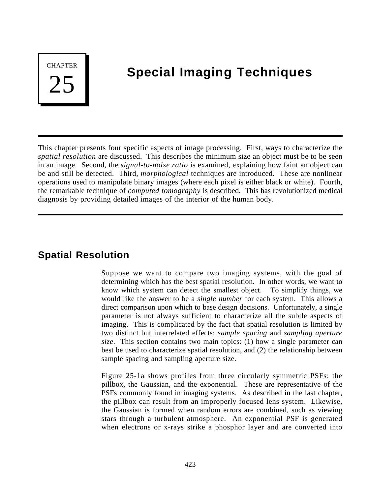**CHAPTER** 

# 25 **Special Imaging Techniques**

This chapter presents four specific aspects of image processing. First, ways to characterize the *spatial resolution* are discussed. This describes the minimum size an object must be to be seen in an image. Second, the *signal-to-noise ratio* is examined, explaining how faint an object can be and still be detected. Third, *morphological* techniques are introduced. These are nonlinear operations used to manipulate binary images (where each pixel is either black or white). Fourth, the remarkable technique of *computed tomography* is described. This has revolutionized medical diagnosis by providing detailed images of the interior of the human body.

# **Spatial Resolution**

Suppose we want to compare two imaging systems, with the goal of determining which has the best spatial resolution. In other words, we want to know which system can detect the smallest object. To simplify things, we would like the answer to be a *single number* for each system. This allows a direct comparison upon which to base design decisions. Unfortunately, a single parameter is not always sufficient to characterize all the subtle aspects of imaging. This is complicated by the fact that spatial resolution is limited by two distinct but interrelated effects: *sample spacing* and *sampling aperture size*. This section contains two main topics: (1) how a single parameter can best be used to characterize spatial resolution, and (2) the relationship between sample spacing and sampling aperture size.

Figure 25-1a shows profiles from three circularly symmetric PSFs: the pillbox, the Gaussian, and the exponential. These are representative of the PSFs commonly found in imaging systems. As described in the last chapter, the pillbox can result from an improperly focused lens system. Likewise, the Gaussian is formed when random errors are combined, such as viewing stars through a turbulent atmosphere. An exponential PSF is generated when electrons or x-rays strike a phosphor layer and are converted into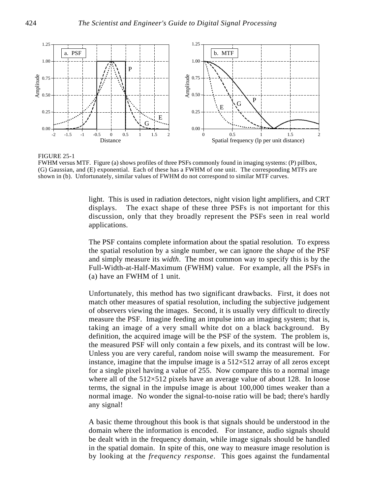

FIGURE 25-1 FWHM versus MTF. Figure (a) shows profiles of three PSFs commonly found in imaging systems: (P) pillbox, (G) Gaussian, and (E) exponential. Each of these has a FWHM of one unit. The corresponding MTFs are

light. This is used in radiation detectors, night vision light amplifiers, and CRT displays. The exact shape of these three PSFs is not important for this discussion, only that they broadly represent the PSFs seen in real world applications.

The PSF contains complete information about the spatial resolution. To express the spatial resolution by a single number, we can ignore the *shape* of the PSF and simply measure its *width*. The most common way to specify this is by the Full-Width-at-Half-Maximum (FWHM) value. For example, all the PSFs in (a) have an FWHM of 1 unit.

Unfortunately, this method has two significant drawbacks. First, it does not match other measures of spatial resolution, including the subjective judgement of observers viewing the images. Second, it is usually very difficult to directly measure the PSF. Imagine feeding an impulse into an imaging system; that is, taking an image of a very small white dot on a black background. By definition, the acquired image will be the PSF of the system. The problem is, the measured PSF will only contain a few pixels, and its contrast will be low. Unless you are very careful, random noise will swamp the measurement. For instance, imagine that the impulse image is a  $512\times512$  array of all zeros except for a single pixel having a value of 255. Now compare this to a normal image where all of the  $512\times512$  pixels have an average value of about 128. In loose terms, the signal in the impulse image is about 100,000 times weaker than a normal image. No wonder the signal-to-noise ratio will be bad; there's hardly any signal!

A basic theme throughout this book is that signals should be understood in the domain where the information is encoded. For instance, audio signals should be dealt with in the frequency domain, while image signals should be handled in the spatial domain. In spite of this, one way to measure image resolution is by looking at the *frequency response*. This goes against the fundamental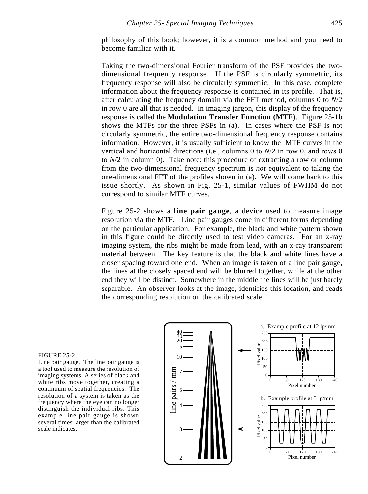philosophy of this book; however, it is a common method and you need to become familiar with it.

Taking the two-dimensional Fourier transform of the PSF provides the twodimensional frequency response. If the PSF is circularly symmetric, its frequency response will also be circularly symmetric. In this case, complete information about the frequency response is contained in its profile. That is, after calculating the frequency domain via the FFT method, columns 0 to *N*/2 in row 0 are all that is needed. In imaging jargon, this display of the frequency response is called the **Modulation Transfer Function (MTF)**. Figure 25-1b shows the MTFs for the three PSFs in (a). In cases where the PSF is not circularly symmetric, the entire two-dimensional frequency response contains information. However, it is usually sufficient to know the MTF curves in the vertical and horizontal directions (i.e., columns 0 to *N*/2 in row 0, and rows 0 to *N*/2 in column 0). Take note: this procedure of extracting a row or column from the two-dimensional frequency spectrum is *not* equivalent to taking the one-dimensional FFT of the profiles shown in (a). We will come back to this issue shortly. As shown in Fig. 25-1, similar values of FWHM do not correspond to similar MTF curves.

Figure 25-2 shows a **line pair gauge**, a device used to measure image resolution via the MTF. Line pair gauges come in different forms depending on the particular application. For example, the black and white pattern shown in this figure could be directly used to test video cameras. For an x-ray imaging system, the ribs might be made from lead, with an x-ray transparent material between. The key feature is that the black and white lines have a closer spacing toward one end. When an image is taken of a line pair gauge, the lines at the closely spaced end will be blurred together, while at the other end they will be distinct. Somewhere in the middle the lines will be just barely separable. An observer looks at the image, identifies this location, and reads the corresponding resolution on the calibrated scale.

#### FIGURE 25-2

Line pair gauge. The line pair gauge is a tool used to measure the resolution of imaging systems. A series of black and white ribs move together, creating a continuum of spatial frequencies. The resolution of a system is taken as the frequency where the eye can no longer distinguish the individual ribs. This example line pair gauge is shown several times larger than the calibrated scale indicates.

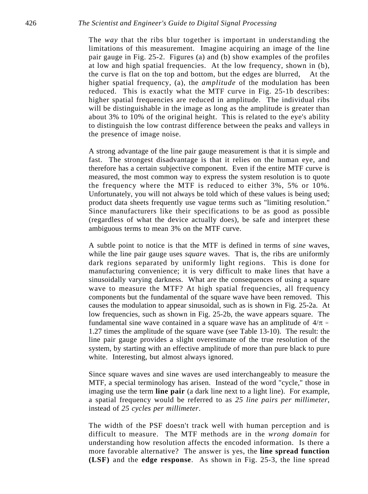The *way* that the ribs blur together is important in understanding the limitations of this measurement. Imagine acquiring an image of the line pair gauge in Fig. 25-2. Figures (a) and (b) show examples of the profiles at low and high spatial frequencies. At the low frequency, shown in (b), the curve is flat on the top and bottom, but the edges are blurred, At the higher spatial frequency, (a), the *amplitude* of the modulation has been reduced. This is exactly what the MTF curve in Fig. 25-1b describes: higher spatial frequencies are reduced in amplitude. The individual ribs will be distinguishable in the image as long as the amplitude is greater than about 3% to 10% of the original height. This is related to the eye's ability to distinguish the low contrast difference between the peaks and valleys in the presence of image noise.

A strong advantage of the line pair gauge measurement is that it is simple and fast. The strongest disadvantage is that it relies on the human eye, and therefore has a certain subjective component. Even if the entire MTF curve is measured, the most common way to express the system resolution is to quote the frequency where the MTF is reduced to either 3%, 5% or 10%. Unfortunately, you will not always be told which of these values is being used; product data sheets frequently use vague terms such as "limiting resolution." Since manufacturers like their specifications to be as good as possible (regardless of what the device actually does), be safe and interpret these ambiguous terms to mean 3% on the MTF curve.

A subtle point to notice is that the MTF is defined in terms of *sine* waves, while the line pair gauge uses *square* waves. That is, the ribs are uniformly dark regions separated by uniformly light regions. This is done for manufacturing convenience; it is very difficult to make lines that have a sinusoidally varying darkness. What are the consequences of using a square wave to measure the MTF? At high spatial frequencies, all frequency components but the fundamental of the square wave have been removed. This causes the modulation to appear sinusoidal, such as is shown in Fig. 25-2a. At low frequencies, such as shown in Fig. 25-2b, the wave appears square. The fundamental sine wave contained in a square wave has an amplitude of  $4/\pi$  = 1.27 times the amplitude of the square wave (see Table 13-10). The result: the line pair gauge provides a slight overestimate of the true resolution of the system, by starting with an effective amplitude of more than pure black to pure white. Interesting, but almost always ignored.

Since square waves and sine waves are used interchangeably to measure the MTF, a special terminology has arisen. Instead of the word "cycle," those in imaging use the term **line pair** (a dark line next to a light line). For example, a spatial frequency would be referred to as *25 line pairs per millimeter*, instead of *25 cycles per millimeter*.

The width of the PSF doesn't track well with human perception and is difficult to measure. The MTF methods are in the *wrong domain* for understanding how resolution affects the encoded information. Is there a more favorable alternative? The answer is yes, the **line spread function (LSF)** and the **edge response**. As shown in Fig. 25-3, the line spread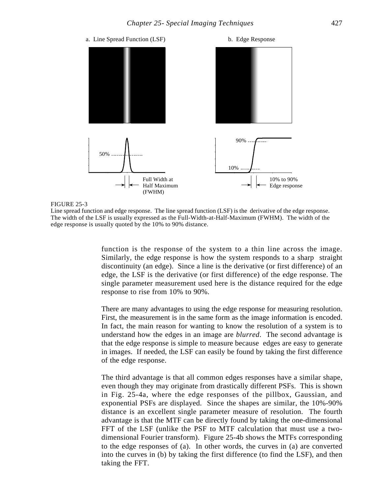

FIGURE 25-3

Line spread function and edge response. The line spread function (LSF) is the derivative of the edge response. The width of the LSF is usually expressed as the Full-Width-at-Half-Maximum (FWHM). The width of the edge response is usually quoted by the 10% to 90% distance.

function is the response of the system to a thin line across the image. Similarly, the edge response is how the system responds to a sharp straight discontinuity (an edge). Since a line is the derivative (or first difference) of an edge, the LSF is the derivative (or first difference) of the edge response. The single parameter measurement used here is the distance required for the edge response to rise from 10% to 90%.

There are many advantages to using the edge response for measuring resolution. First, the measurement is in the same form as the image information is encoded. In fact, the main reason for wanting to know the resolution of a system is to understand how the edges in an image are *blurred*. The second advantage is that the edge response is simple to measure because edges are easy to generate in images. If needed, the LSF can easily be found by taking the first difference of the edge response.

The third advantage is that all common edges responses have a similar shape, even though they may originate from drastically different PSFs. This is shown in Fig. 25-4a, where the edge responses of the pillbox, Gaussian, and exponential PSFs are displayed. Since the shapes are similar, the 10%-90% distance is an excellent single parameter measure of resolution. The fourth advantage is that the MTF can be directly found by taking the one-dimensional FFT of the LSF (unlike the PSF to MTF calculation that must use a twodimensional Fourier transform). Figure 25-4b shows the MTFs corresponding to the edge responses of (a). In other words, the curves in (a) are converted into the curves in (b) by taking the first difference (to find the LSF), and then taking the FFT.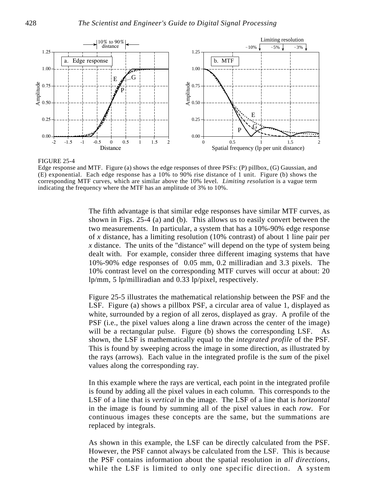

#### FIGURE 25-4

Edge response and MTF. Figure (a) shows the edge responses of three PSFs: (P) pillbox, (G) Gaussian, and (E) exponential. Each edge response has a 10% to 90% rise distance of 1 unit. Figure (b) shows the corresponding MTF curves, which are similar above the 10% level. *Limiting resolution* is a vague term

The fifth advantage is that similar edge responses have similar MTF curves, as shown in Figs. 25-4 (a) and (b). This allows us to easily convert between the two measurements. In particular, a system that has a 10%-90% edge response of *x* distance, has a limiting resolution (10% contrast) of about 1 line pair per *x* distance. The units of the "distance" will depend on the type of system being dealt with. For example, consider three different imaging systems that have 10%-90% edge responses of 0.05 mm, 0.2 milliradian and 3.3 pixels. The 10% contrast level on the corresponding MTF curves will occur at about: 20 lp/mm, 5 lp/milliradian and 0.33 lp/pixel, respectively.

Figure 25-5 illustrates the mathematical relationship between the PSF and the LSF. Figure (a) shows a pillbox PSF, a circular area of value 1, displayed as white, surrounded by a region of all zeros, displayed as gray. A profile of the PSF (i.e., the pixel values along a line drawn across the center of the image) will be a rectangular pulse. Figure (b) shows the corresponding LSF. As shown, the LSF is mathematically equal to the *integrated profile* of the PSF. This is found by sweeping across the image in some direction, as illustrated by the rays (arrows). Each value in the integrated profile is the *sum* of the pixel values along the corresponding ray.

In this example where the rays are vertical, each point in the integrated profile is found by adding all the pixel values in each column. This corresponds to the LSF of a line that is *vertical* in the image. The LSF of a line that is *horizontal* in the image is found by summing all of the pixel values in each *row*. For continuous images these concepts are the same, but the summations are replaced by integrals.

As shown in this example, the LSF can be directly calculated from the PSF. However, the PSF cannot always be calculated from the LSF. This is because the PSF contains information about the spatial resolution in *all directions*, while the LSF is limited to only one specific direction. A system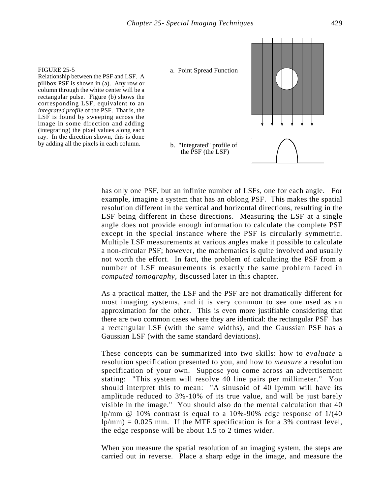FIGURE 25-5



has only one PSF, but an infinite number of LSFs, one for each angle. For example, imagine a system that has an oblong PSF. This makes the spatial resolution different in the vertical and horizontal directions, resulting in the LSF being different in these directions. Measuring the LSF at a single angle does not provide enough information to calculate the complete PSF except in the special instance where the PSF is circularly symmetric. Multiple LSF measurements at various angles make it possible to calculate a non-circular PSF; however, the mathematics is quite involved and usually not worth the effort. In fact, the problem of calculating the PSF from a number of LSF measurements is exactly the same problem faced in *computed tomography*, discussed later in this chapter.

As a practical matter, the LSF and the PSF are not dramatically different for most imaging systems, and it is very common to see one used as an approximation for the other. This is even more justifiable considering that there are two common cases where they are identical: the rectangular PSF has a rectangular LSF (with the same widths), and the Gaussian PSF has a Gaussian LSF (with the same standard deviations).

These concepts can be summarized into two skills: how to *evaluate* a resolution specification presented to you, and how to *measure* a resolution specification of your own. Suppose you come across an advertisement stating: "This system will resolve 40 line pairs per millimeter." You should interpret this to mean: "A sinusoid of 40 lp/mm will have its amplitude reduced to 3%-10% of its true value, and will be just barely visible in the image." You should also do the mental calculation that 40 lp/mm  $\omega$  10% contrast is equal to a 10%-90% edge response of  $1/(40)$  $lp/mm = 0.025$  mm. If the MTF specification is for a 3% contrast level, the edge response will be about 1.5 to 2 times wider.

When you measure the spatial resolution of an imaging system, the steps are carried out in reverse. Place a sharp edge in the image, and measure the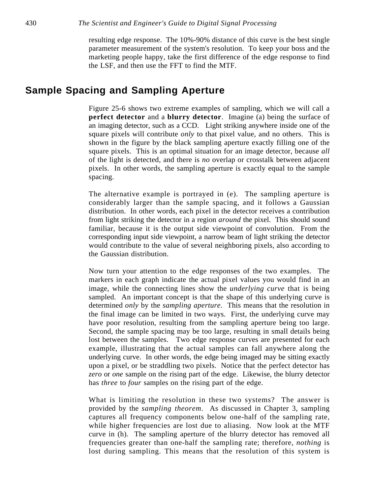resulting edge response. The 10%-90% distance of this curve is the best single parameter measurement of the system's resolution. To keep your boss and the marketing people happy, take the first difference of the edge response to find the LSF, and then use the FFT to find the MTF.

# **Sample Spacing and Sampling Aperture**

Figure 25-6 shows two extreme examples of sampling, which we will call a **perfect detector** and a **blurry detector**. Imagine (a) being the surface of an imaging detector, such as a CCD. Light striking anywhere inside one of the square pixels will contribute *only* to that pixel value, and no others. This is shown in the figure by the black sampling aperture exactly filling one of the square pixels. This is an optimal situation for an image detector, because *all* of the light is detected, and there is *no* overlap or crosstalk between adjacent pixels. In other words, the sampling aperture is exactly equal to the sample spacing.

The alternative example is portrayed in (e). The sampling aperture is considerably larger than the sample spacing, and it follows a Gaussian distribution. In other words, each pixel in the detector receives a contribution from light striking the detector in a region *around* the pixel. This should sound familiar, because it is the output side viewpoint of convolution. From the corresponding input side viewpoint, a narrow beam of light striking the detector would contribute to the value of several neighboring pixels, also according to the Gaussian distribution.

Now turn your attention to the edge responses of the two examples. The markers in each graph indicate the actual pixel values you would find in an image, while the connecting lines show the *underlying curve* that is being sampled. An important concept is that the shape of this underlying curve is determined *only* by the *sampling aperture*. This means that the resolution in the final image can be limited in two ways. First, the underlying curve may have poor resolution, resulting from the sampling aperture being too large. Second, the sample spacing may be too large, resulting in small details being lost between the samples. Two edge response curves are presented for each example, illustrating that the actual samples can fall anywhere along the underlying curve. In other words, the edge being imaged may be sitting exactly upon a pixel, or be straddling two pixels. Notice that the perfect detector has *zero* or *one* sample on the rising part of the edge. Likewise, the blurry detector has *three* to *four* samples on the rising part of the edge.

What is limiting the resolution in these two systems? The answer is provided by the *sampling theorem*. As discussed in Chapter 3, sampling captures all frequency components below one-half of the sampling rate, while higher frequencies are lost due to aliasing. Now look at the MTF curve in (h). The sampling aperture of the blurry detector has removed all frequencies greater than one-half the sampling rate; therefore, *nothing* is lost during sampling. This means that the resolution of this system is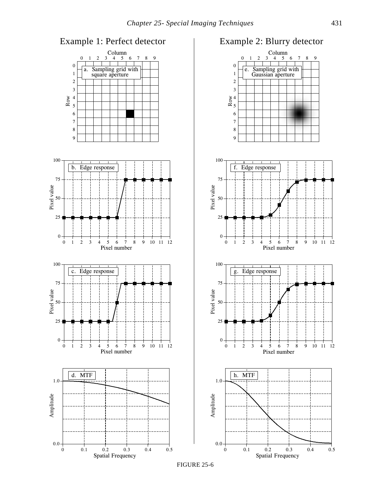

FIGURE 25-6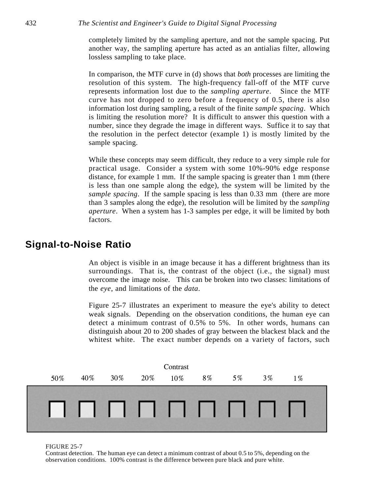completely limited by the sampling aperture, and not the sample spacing. Put another way, the sampling aperture has acted as an antialias filter, allowing lossless sampling to take place.

In comparison, the MTF curve in (d) shows that *both* processes are limiting the resolution of this system. The high-frequency fall-off of the MTF curve represents information lost due to the *sampling aperture*. Since the MTF curve has not dropped to zero before a frequency of 0.5, there is also information lost during sampling, a result of the finite *sample spacing*. Which is limiting the resolution more? It is difficult to answer this question with a number, since they degrade the image in different ways. Suffice it to say that the resolution in the perfect detector (example 1) is mostly limited by the sample spacing.

While these concepts may seem difficult, they reduce to a very simple rule for practical usage. Consider a system with some 10%-90% edge response distance, for example 1 mm. If the sample spacing is greater than 1 mm (there is less than one sample along the edge), the system will be limited by the *sample spacing*. If the sample spacing is less than 0.33 mm (there are more than 3 samples along the edge), the resolution will be limited by the *sampling aperture*. When a system has 1-3 samples per edge, it will be limited by both factors.

## **Signal-to-Noise Ratio**

An object is visible in an image because it has a different brightness than its surroundings. That is, the contrast of the object (i.e., the signal) must overcome the image noise. This can be broken into two classes: limitations of the *eye*, and limitations of the *data*.

Figure 25-7 illustrates an experiment to measure the eye's ability to detect weak signals. Depending on the observation conditions, the human eye can detect a minimum contrast of 0.5% to 5%. In other words, humans can distinguish about 20 to 200 shades of gray between the blackest black and the whitest white. The exact number depends on a variety of factors, such



FIGURE 25-7

Contrast detection. The human eye can detect a minimum contrast of about 0.5 to 5%, depending on the observation conditions. 100% contrast is the difference between pure black and pure white.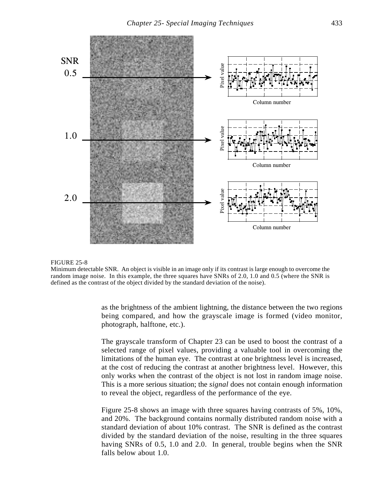

#### FIGURE 25-8

Minimum detectable SNR. An object is visible in an image only if its contrast is large enough to overcome the random image noise. In this example, the three squares have SNRs of 2.0, 1.0 and 0.5 (where the SNR is defined as the contrast of the object divided by the standard deviation of the noise).

> as the brightness of the ambient lightning, the distance between the two regions being compared, and how the grayscale image is formed (video monitor, photograph, halftone, etc.).

> The grayscale transform of Chapter 23 can be used to boost the contrast of a selected range of pixel values, providing a valuable tool in overcoming the limitations of the human eye. The contrast at one brightness level is increased, at the cost of reducing the contrast at another brightness level. However, this only works when the contrast of the object is not lost in random image noise. This is a more serious situation; the *signal* does not contain enough information to reveal the object, regardless of the performance of the eye.

> Figure 25-8 shows an image with three squares having contrasts of 5%, 10%, and 20%. The background contains normally distributed random noise with a standard deviation of about 10% contrast. The SNR is defined as the contrast divided by the standard deviation of the noise, resulting in the three squares having SNRs of 0.5, 1.0 and 2.0. In general, trouble begins when the SNR falls below about 1.0.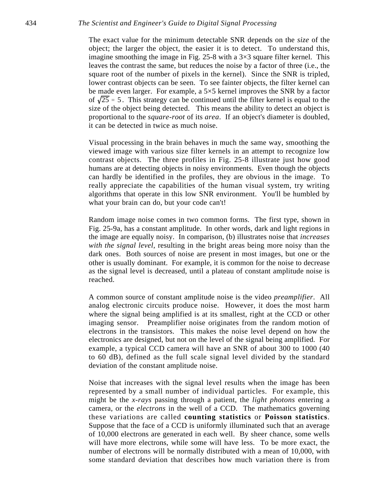The exact value for the minimum detectable SNR depends on the *size* of the object; the larger the object, the easier it is to detect. To understand this, imagine smoothing the image in Fig. 25-8 with a  $3\times3$  square filter kernel. This leaves the contrast the same, but reduces the noise by a factor of three (i.e., the square root of the number of pixels in the kernel). Since the SNR is tripled, lower contrast objects can be seen. To see fainter objects, the filter kernel can be made even larger. For example, a  $5\times5$  kernel improves the SNR by a factor of  $\sqrt{25}$  = 5. This strategy can be continued until the filter kernel is equal to the size of the object being detected. This means the ability to detect an object is proportional to the *square-root* of its *area*. If an object's diameter is doubled, it can be detected in twice as much noise.

Visual processing in the brain behaves in much the same way, smoothing the viewed image with various size filter kernels in an attempt to recognize low contrast objects. The three profiles in Fig. 25-8 illustrate just how good humans are at detecting objects in noisy environments. Even though the objects can hardly be identified in the profiles, they are obvious in the image. To really appreciate the capabilities of the human visual system, try writing algorithms that operate in this low SNR environment. You'll be humbled by what your brain can do, but your code can't!

Random image noise comes in two common forms. The first type, shown in Fig. 25-9a, has a constant amplitude. In other words, dark and light regions in the image are equally noisy. In comparison, (b) illustrates noise that *increases with the signal level*, resulting in the bright areas being more noisy than the dark ones. Both sources of noise are present in most images, but one or the other is usually dominant. For example, it is common for the noise to decrease as the signal level is decreased, until a plateau of constant amplitude noise is reached.

A common source of constant amplitude noise is the video *preamplifier*. All analog electronic circuits produce noise. However, it does the most harm where the signal being amplified is at its smallest, right at the CCD or other imaging sensor. Preamplifier noise originates from the random motion of electrons in the transistors. This makes the noise level depend on how the electronics are designed, but not on the level of the signal being amplified. For example, a typical CCD camera will have an SNR of about 300 to 1000 (40 to 60 dB), defined as the full scale signal level divided by the standard deviation of the constant amplitude noise.

Noise that increases with the signal level results when the image has been represented by a small number of individual particles. For example, this might be the *x-rays* passing through a patient, the *light photons* entering a camera, or the *electrons* in the well of a CCD. The mathematics governing these variations are called **counting statistics** or **Poisson statistics**. Suppose that the face of a CCD is uniformly illuminated such that an average of 10,000 electrons are generated in each well. By sheer chance, some wells will have more electrons, while some will have less. To be more exact, the number of electrons will be normally distributed with a mean of 10,000, with some standard deviation that describes how much variation there is from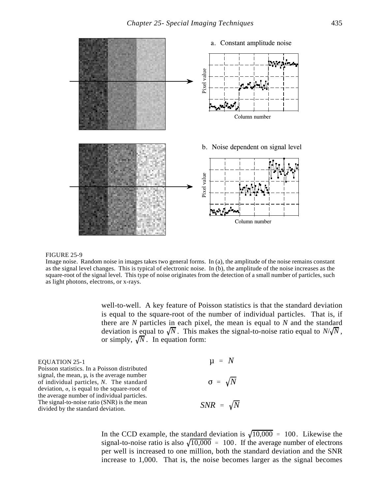

#### FIGURE 25-9

Image noise. Random noise in images takes two general forms. In (a), the amplitude of the noise remains constant as the signal level changes. This is typical of electronic noise. In (b), the amplitude of the noise increases as the square-root of the signal level. This type of noise originates from the detection of a small number of particles, such as light photons, electrons, or x-rays.

well-to-well. A key feature of Poisson statistics is that the standard deviation is equal to the square-root of the number of individual particles. That is, if there are *N* particles in each pixel, the mean is equal to *N* and the standard deviation is equal to  $\sqrt{N}$ . This makes the signal-to-noise ratio equal to  $N/\sqrt{N}$ , or simply,  $\sqrt{N}$ . In equation form:

| EOUATION 25-1                                                                                                                                                                                       | $\mu = N$           |
|-----------------------------------------------------------------------------------------------------------------------------------------------------------------------------------------------------|---------------------|
| Poisson statistics. In a Poisson distributed<br>signal, the mean, $\mu$ , is the average number<br>of individual particles, N. The standard<br>deviation, $\sigma$ , is equal to the square-root of | $\sigma = \sqrt{N}$ |
| the average number of individual particles.<br>The signal-to-noise ratio (SNR) is the mean<br>divided by the standard deviation.                                                                    | $SNR = \sqrt{N}$    |

In the CCD example, the standard deviation is  $\sqrt{10,000}$  = 100. Likewise the signal-to-noise ratio is also  $\sqrt{10,000}$  = 100. If the average number of electrons per well is increased to one million, both the standard deviation and the SNR increase to 1,000. That is, the noise becomes larger as the signal becomes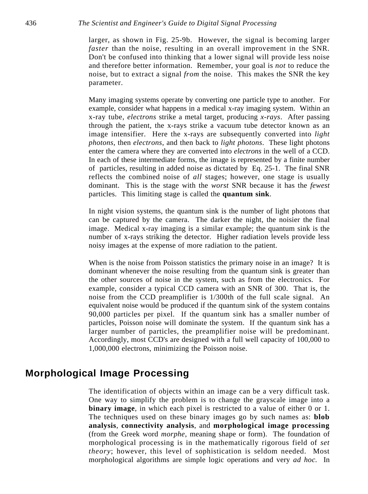#### 436 *The Scientist and Engineer's Guide to Digital Signal Processing*

larger, as shown in Fig. 25-9b. However, the signal is becoming larger *faster* than the noise, resulting in an overall improvement in the SNR. Don't be confused into thinking that a lower signal will provide less noise and therefore better information. Remember, your goal is *not* to reduce the noise, but to extract a signal *from* the noise. This makes the SNR the key parameter.

Many imaging systems operate by converting one particle type to another. For example, consider what happens in a medical x-ray imaging system. Within an x-ray tube, *electrons* strike a metal target, producing *x-rays*. After passing through the patient, the x-rays strike a vacuum tube detector known as an image intensifier. Here the x-rays are subsequently converted into *light photons*, then *electrons*, and then back to *light photons*. These light photons enter the camera where they are converted into *electrons* in the well of a CCD. In each of these intermediate forms, the image is represented by a finite number of particles, resulting in added noise as dictated by Eq. 25-1. The final SNR reflects the combined noise of *all* stages; however, one stage is usually dominant. This is the stage with the *worst* SNR because it has the *fewest* particles. This limiting stage is called the **quantum sink**.

In night vision systems, the quantum sink is the number of light photons that can be captured by the camera. The darker the night, the noisier the final image. Medical x-ray imaging is a similar example; the quantum sink is the number of x-rays striking the detector. Higher radiation levels provide less noisy images at the expense of more radiation to the patient.

When is the noise from Poisson statistics the primary noise in an image? It is dominant whenever the noise resulting from the quantum sink is greater than the other sources of noise in the system, such as from the electronics. For example, consider a typical CCD camera with an SNR of 300. That is, the noise from the CCD preamplifier is 1/300th of the full scale signal. An equivalent noise would be produced if the quantum sink of the system contains 90,000 particles per pixel. If the quantum sink has a smaller number of particles, Poisson noise will dominate the system. If the quantum sink has a larger number of particles, the preamplifier noise will be predominant. Accordingly, most CCD's are designed with a full well capacity of 100,000 to 1,000,000 electrons, minimizing the Poisson noise.

## **Morphological Image Processing**

The identification of objects within an image can be a very difficult task. One way to simplify the problem is to change the grayscale image into a **binary image**, in which each pixel is restricted to a value of either 0 or 1. The techniques used on these binary images go by such names as: **blob analysis**, **connectivity analysis**, and **morphological image processing** (from the Greek word *morphe*, meaning shape or form). The foundation of morphological processing is in the mathematically rigorous field of *set theory*; however, this level of sophistication is seldom needed. Most morphological algorithms are simple logic operations and very *ad hoc.* In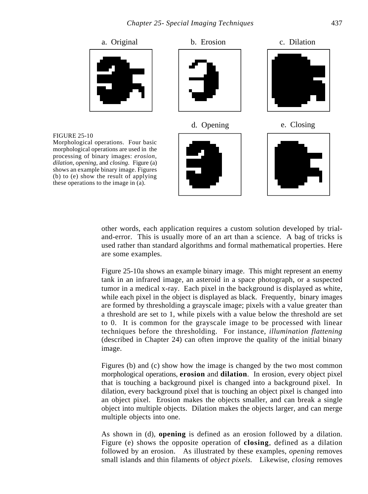



d. Opening e. Closing









other words, each application requires a custom solution developed by trialand-error. This is usually more of an art than a science. A bag of tricks is used rather than standard algorithms and formal mathematical properties. Here are some examples.

Figure 25-10a shows an example binary image. This might represent an enemy tank in an infrared image, an asteroid in a space photograph, or a suspected tumor in a medical x-ray. Each pixel in the background is displayed as white, while each pixel in the object is displayed as black. Frequently, binary images are formed by thresholding a grayscale image; pixels with a value greater than a threshold are set to 1, while pixels with a value below the threshold are set to 0. It is common for the grayscale image to be processed with linear techniques before the thresholding. For instance, *illumination flattening* (described in Chapter 24) can often improve the quality of the initial binary image.

Figures (b) and (c) show how the image is changed by the two most common morphological operations, **erosion** and **dilation**. In erosion, every object pixel that is touching a background pixel is changed into a background pixel. In dilation, every background pixel that is touching an object pixel is changed into an object pixel. Erosion makes the objects smaller, and can break a single object into multiple objects. Dilation makes the objects larger, and can merge multiple objects into one.

As shown in (d), **opening** is defined as an erosion followed by a dilation. Figure (e) shows the opposite operation of **closing**, defined as a dilation followed by an erosion. As illustrated by these examples, *opening* removes small islands and thin filaments of *object pixels.* Likewise, *closing* removes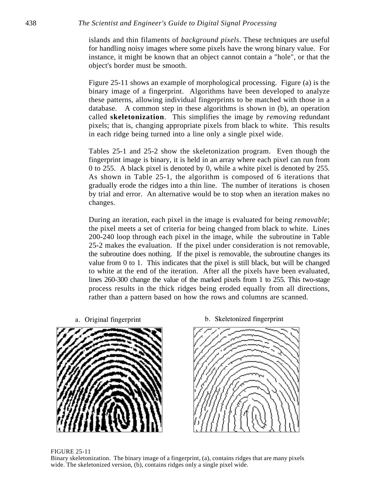#### 438 *The Scientist and Engineer's Guide to Digital Signal Processing*

islands and thin filaments of *background pixels*. These techniques are useful for handling noisy images where some pixels have the wrong binary value. For instance, it might be known that an object cannot contain a "hole", or that the object's border must be smooth.

Figure 25-11 shows an example of morphological processing. Figure (a) is the binary image of a fingerprint. Algorithms have been developed to analyze these patterns, allowing individual fingerprints to be matched with those in a database. A common step in these algorithms is shown in (b), an operation called **skeletonization**. This simplifies the image by *removing* redundant pixels; that is, changing appropriate pixels from black to white. This results in each ridge being turned into a line only a single pixel wide.

Tables 25-1 and 25-2 show the skeletonization program. Even though the fingerprint image is binary, it is held in an array where each pixel can run from 0 to 255. A black pixel is denoted by 0, while a white pixel is denoted by 255. As shown in Table 25-1, the algorithm is composed of 6 iterations that gradually erode the ridges into a thin line. The number of iterations is chosen by trial and error. An alternative would be to stop when an iteration makes no changes.

During an iteration, each pixel in the image is evaluated for being *removable*; the pixel meets a set of criteria for being changed from black to white. Lines 200-240 loop through each pixel in the image, while the subroutine in Table 25-2 makes the evaluation. If the pixel under consideration is not removable, the subroutine does nothing. If the pixel is removable, the subroutine changes its value from 0 to 1. This indicates that the pixel is still black, but will be changed to white at the end of the iteration. After all the pixels have been evaluated, lines 260-300 change the value of the marked pixels from 1 to 255. This two-stage process results in the thick ridges being eroded equally from all directions, rather than a pattern based on how the rows and columns are scanned.



#### a. Original fingerprint b. Skeletonized fingerprint



#### FIGURE 25-11

Binary skeletonization. The binary image of a fingerprint, (a), contains ridges that are many pixels wide. The skeletonized version, (b), contains ridges only a single pixel wide.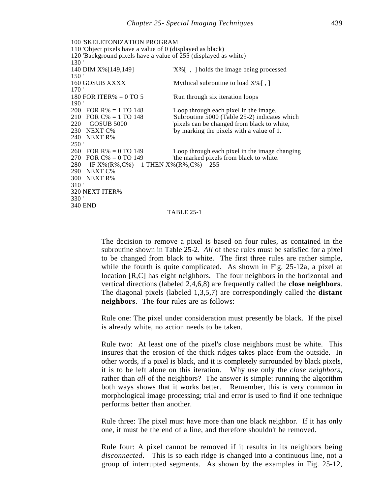```
100 'SKELETONIZATION PROGRAM
110 'Object pixels have a value of 0 (displayed as black)
120 'Background pixels have a value of 255 (displayed as white)
130 '
140 DIM X%[149,149] 'X%[, ] holds the image being processed
150 '<br>160 GOSUB XXXX
                                      'Mythical subroutine to load X\% [, ]
170 '
180 FOR ITER% = 0 TO 5 TRun through six iteration loops
190 '
200 FOR R% = 1 TO 148 'Loop through each pixel in the image.<br>210 FOR C% = 1 TO 148 'Subroutine 5000 (Table 25-2) indicate
                                      'Subroutine 5000 (Table 25-2) indicates which
220 GOSUB 5000 'pixels can be changed from black to white,<br>230 NEXT C% 'by marking the pixels with a value of 1.
                                      'by marking the pixels with a value of 1.
240 NEXT R%
250'<br>260 FOR R% = 0 TO 149
                                      Loop through each pixel in the image changing
270 FOR C% = 0 TO 149 \qquad 'the marked pixels from black to white.
280 IF X\% (R\%,C\%) = 1 THEN X\% (R\%,C\%) = 255
290 NEXT C%
300 NEXT R%
310 '
320 NEXT ITER%
330 '
340 END
                                     TABLE 25-1
```
The decision to remove a pixel is based on four rules, as contained in the subroutine shown in Table 25-2. *All* of these rules must be satisfied for a pixel to be changed from black to white. The first three rules are rather simple, while the fourth is quite complicated. As shown in Fig. 25-12a, a pixel at location [R,C] has eight neighbors. The four neighbors in the horizontal and vertical directions (labeled 2,4,6,8) are frequently called the **close neighbors**. The diagonal pixels (labeled 1,3,5,7) are correspondingly called the **distant neighbors**. The four rules are as follows:

Rule one: The pixel under consideration must presently be black. If the pixel is already white, no action needs to be taken.

Rule two: At least one of the pixel's close neighbors must be white. This insures that the erosion of the thick ridges takes place from the outside. In other words, if a pixel is black, and it is completely surrounded by black pixels, it is to be left alone on this iteration. Why use only the *close neighbors*, rather than *all* of the neighbors? The answer is simple: running the algorithm both ways shows that it works better. Remember, this is very common in morphological image processing; trial and error is used to find if one technique performs better than another.

Rule three: The pixel must have more than one black neighbor. If it has only one, it must be the end of a line, and therefore shouldn't be removed.

Rule four: A pixel cannot be removed if it results in its neighbors being *disconnected*. This is so each ridge is changed into a continuous line, not a group of interrupted segments. As shown by the examples in Fig. 25-12,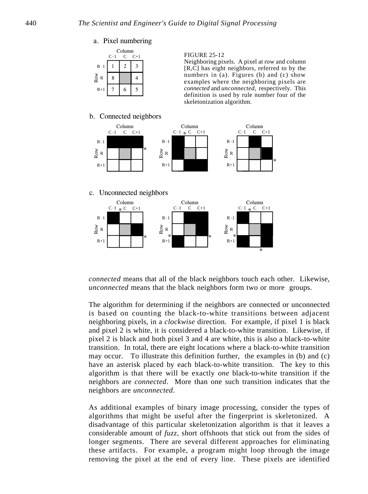#### a. Pixel numbering



#### FIGURE 25-12

Neighboring pixels. A pixel at row and column [R,C] has eight neighbors, referred to by the numbers in (a). Figures (b) and (c) show examples where the neighboring pixels are *connected* and *unconnected*, respectively. This definition is used by rule number four of the skeletonization algorithm.

#### b. Connected neighbors



#### c. Unconnected neighbors



*connected* means that all of the black neighbors touch each other. Likewise, *unconnected* means that the black neighbors form two or more groups.

The algorithm for determining if the neighbors are connected or unconnected is based on counting the black-to-white transitions between adjacent neighboring pixels, in a *clockwise* direction. For example, if pixel 1 is black and pixel 2 is white, it is considered a black-to-white transition. Likewise, if pixel 2 is black and both pixel 3 and 4 are white, this is also a black-to-white transition. In total, there are eight locations where a black-to-white transition may occur. To illustrate this definition further, the examples in (b) and (c) have an asterisk placed by each black-to-white transition. The key to this algorithm is that there will be exactly *one* black-to-white transition if the neighbors are *connected*. More than one such transition indicates that the neighbors are *unconnected*.

As additional examples of binary image processing, consider the types of algorithms that might be useful after the fingerprint is skeletonized. A disadvantage of this particular skeletonization algorithm is that it leaves a considerable amount of *fuzz*, short offshoots that stick out from the sides of longer segments. There are several different approaches for eliminating these artifacts. For example, a program might loop through the image removing the pixel at the end of every line. These pixels are identified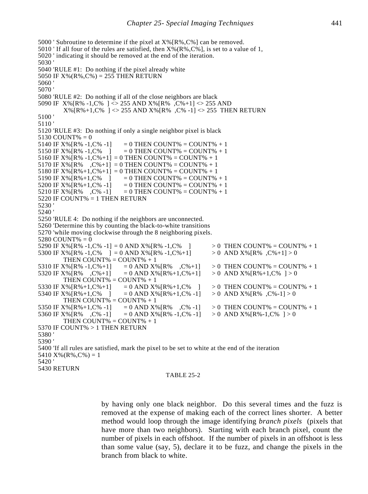```
5000 ' Subroutine to determine if the pixel at X%[R%,C%] can be removed.
5010 ' If all four of the rules are satisfied, then X\%(\mathbb{R}\%(\mathbb{C}\%), is set to a value of 1,
5020 ' indicating it should be removed at the end of the iteration.
5030 '
5040 'RULE #1: Do nothing if the pixel already white
5050 IF X\% (R\%,C\%) = 255 THEN RETURN
5060 '
5070 '
5080 'RULE #2: Do nothing if all of the close neighbors are black
5090 IF X%[R% -1,C% ] <> 255 AND X%[R% ,C%+1] <> 255 AND 
         X\%[R%+1,C% ] <> 255 AND X\%[R% ,C% -1] <> 255 THEN RETURN
5100 '
5110 '
5120 'RULE #3: Do nothing if only a single neighbor pixel is black
5130 COUNT% = 0<br>5140 IF X% [R% -1, C% -1]
                               =0 THEN COUNT% = COUNT% +15150 IF X\% [R\% -1,C\%] = 0 THEN COUNT% = COUNT% + 1
5160 IF X\% [R\% -1, C\% +1] = 0 THEN COUNT\% = COUNT\% +15170 IF X\% [R\% C\%+1] = 0 THEN COUNT\% = COUNT\% + 1
5180 IF X\% [R\% +1, C\% +1] = 0 THEN COUNT\% = COUNT\% +15190 IF X\% [R%+1,C% ] = 0 THEN COUNT% = COUNT% + 1
5200 \text{ IF } X\%[\text{R}\% +1, \text{C}\% -1] = 0 \text{ THEN } \text{COUNT}\% = \text{COUNT}\% + 1<br>5210 \text{ IF } X\%[\text{R}\% -\text{C}\% -1] = 0 \text{ THEN } \text{COUNT}\% = \text{COUNT}\% + 1=0 THEN COUNT% = COUNT% +15220 IF COUNT% = 1 THEN RETURN
5230 '
5240 '
5250 'RULE 4: Do nothing if the neighbors are unconnected. 
5260 'Determine this by counting the black-to-white transitions
5270 'while moving clockwise through the 8 neighboring pixels.
5280 COUNT% = 05290 IF X%[R% -1,C% -1] = 0 AND X%[R% -1,C% ] > 0 THEN COUNT% = COUNT% + 1<br>5300 IF X%[R% -1,C% ] = 0 AND X%[R% -1,C%+1] > 0 AND X%[R% ,C%+1] > 0
5300 IF X\%[R\% -1,C\%] = 0 AND X\%[R\% -1,C\% +1]
THEN COUNT% = COUNT% + 1<br>5310 IF X\%[R% -1,C%+1] = 0 AND X\%[R% .C%+1]
                                                               >0 THEN COUNT% = COUNT% + 1
5320 IF X\% [R% , C%+1] = 0 AND X\% [R%+1, C%+1] > 0 AND X\% [R%+1, C% ] > 0
         THEN COUNT% = COUNT% +15330 IF X\% [R\% +1, C\% +1] = 0 AND X\% [R\% +1, C\% ] > 0 THEN COUNT% = COUNT% + 1
5340 IF X\%[R\times 1,C\times 1 = 0 AND X\%[R\times 1] > 0 AND X\%[R\times 1] > 0
THEN COUNT% = COUNT% + 1<br>5350 IF X\% [R%+1,C% -1] = 0 AND X
                              = 0 AND X%[R% ,C% -1] > 0 THEN COUNT% = COUNT% + 1
5360 IF X\% [R\% C\% -1] = 0 AND X\% [R\% -1, C\ -1] > 0 AND X\% [R\% -1, C\ -1 > 0
         THEN COUNT% = COUNT% +15370 IF COUNT% > 1 THEN RETURN
5380 '
5390 '
5400 'If all rules are satisfied, mark the pixel to be set to white at the end of the iteration
5410 X\%(R\%,C\%) = 15420 '
5430 RETURN
```
#### TABLE 25-2

by having only one black neighbor. Do this several times and the fuzz is removed at the expense of making each of the correct lines shorter. A better method would loop through the image identifying *branch pixels* (pixels that have more than two neighbors). Starting with each branch pixel, count the number of pixels in each offshoot. If the number of pixels in an offshoot is less than some value (say, 5), declare it to be fuzz, and change the pixels in the branch from black to white.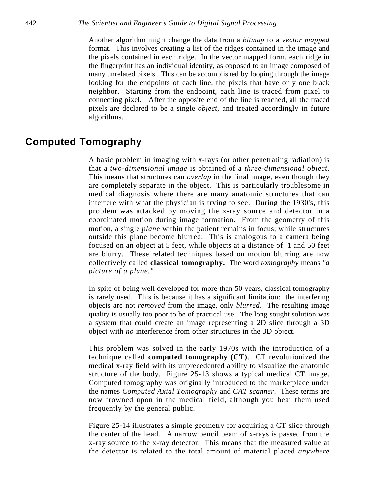Another algorithm might change the data from a *bitmap* to a *vector mapped* format. This involves creating a list of the ridges contained in the image and the pixels contained in each ridge. In the vector mapped form, each ridge in the fingerprint has an individual identity, as opposed to an image composed of many unrelated pixels. This can be accomplished by looping through the image looking for the endpoints of each line, the pixels that have only one black neighbor. Starting from the endpoint, each line is traced from pixel to connecting pixel. After the opposite end of the line is reached, all the traced pixels are declared to be a single *object*, and treated accordingly in future algorithms.

# **Computed Tomography**

A basic problem in imaging with x-rays (or other penetrating radiation) is that a *two-dimensional image* is obtained of a *three-dimensional object*. This means that structures can *overlap* in the final image, even though they are completely separate in the object. This is particularly troublesome in medical diagnosis where there are many anatomic structures that can interfere with what the physician is trying to see. During the 1930's, this problem was attacked by moving the x-ray source and detector in a coordinated motion during image formation. From the geometry of this motion, a single *plane* within the patient remains in focus, while structures outside this plane become blurred. This is analogous to a camera being focused on an object at 5 feet, while objects at a distance of 1 and 50 feet are blurry. These related techniques based on motion blurring are now collectively called **classical tomography.** The word *tomography* means *"a picture of a plane."*

In spite of being well developed for more than 50 years, classical tomography is rarely used. This is because it has a significant limitation: the interfering objects are not *removed* from the image, only *blurred*. The resulting image quality is usually too poor to be of practical use. The long sought solution was a system that could create an image representing a 2D slice through a 3D object with *no* interference from other structures in the 3D object.

This problem was solved in the early 1970s with the introduction of a technique called **computed tomography (CT)**. CT revolutionized the medical x-ray field with its unprecedented ability to visualize the anatomic structure of the body. Figure 25-13 shows a typical medical CT image. Computed tomography was originally introduced to the marketplace under the names *Computed Axial Tomography* and *CAT scanner*. These terms are now frowned upon in the medical field, although you hear them used frequently by the general public.

Figure 25-14 illustrates a simple geometry for acquiring a CT slice through the center of the head. A narrow pencil beam of x-rays is passed from the x-ray source to the x-ray detector. This means that the measured value at the detector is related to the total amount of material placed *anywhere*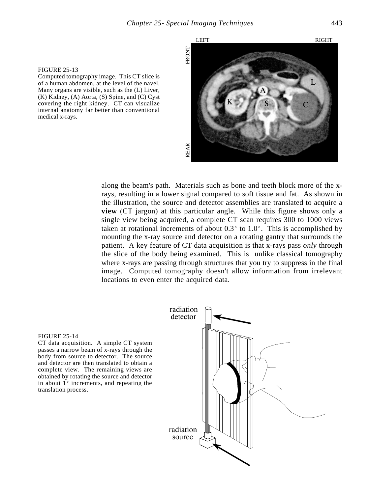

along the beam's path. Materials such as bone and teeth block more of the xrays, resulting in a lower signal compared to soft tissue and fat. As shown in the illustration, the source and detector assemblies are translated to acquire a **view** (CT jargon) at this particular angle. While this figure shows only a single view being acquired, a complete CT scan requires 300 to 1000 views taken at rotational increments of about  $0.3^{\circ}$  to  $1.0^{\circ}$ . This is accomplished by mounting the x-ray source and detector on a rotating gantry that surrounds the patient. A key feature of CT data acquisition is that x-rays pass *only* through the slice of the body being examined. This is unlike classical tomography where x-rays are passing through structures that you try to suppress in the final image. Computed tomography doesn't allow information from irrelevant locations to even enter the acquired data.



#### FIGURE 25-13

FIGURE 25-14

Computed tomography image. This CT slice is of a human abdomen, at the level of the navel. Many organs are visible, such as the (L) Liver, (K) Kidney, (A) Aorta, (S) Spine, and (C) Cyst covering the right kidney. CT can visualize internal anatomy far better than conventional medical x-rays.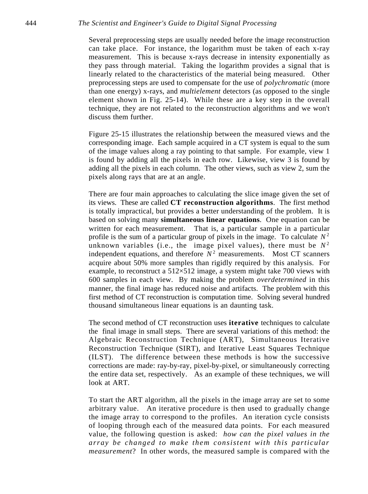Several preprocessing steps are usually needed before the image reconstruction can take place. For instance, the logarithm must be taken of each x-ray measurement. This is because x-rays decrease in intensity exponentially as they pass through material. Taking the logarithm provides a signal that is linearly related to the characteristics of the material being measured. Other preprocessing steps are used to compensate for the use of *polychromatic* (more than one energy) x-rays, and *multielement* detectors (as opposed to the single element shown in Fig. 25-14). While these are a key step in the overall technique, they are not related to the reconstruction algorithms and we won't discuss them further.

Figure 25-15 illustrates the relationship between the measured views and the corresponding image. Each sample acquired in a CT system is equal to the sum of the image values along a ray pointing to that sample. For example, view 1 is found by adding all the pixels in each row. Likewise, view 3 is found by adding all the pixels in each column. The other views, such as view 2, sum the pixels along rays that are at an angle.

There are four main approaches to calculating the slice image given the set of its views. These are called **CT reconstruction algorithms**. The first method is totally impractical, but provides a better understanding of the problem. It is based on solving many **simultaneous linear equations**. One equation can be written for each measurement. That is, a particular sample in a particular profile is the sum of a particular group of pixels in the image. To calculate *N* 2 unknown variables (i.e., the image pixel values), there must be  $N^2$ independent equations, and therefore  $N^2$  measurements. Most CT scanners acquire about 50% more samples than rigidly required by this analysis. For example, to reconstruct a  $512\times512$  image, a system might take 700 views with 600 samples in each view. By making the problem *overdetermined* in this manner, the final image has reduced noise and artifacts. The problem with this first method of CT reconstruction is computation time. Solving several hundred thousand simultaneous linear equations is an daunting task.

The second method of CT reconstruction uses **iterative** techniques to calculate the final image in small steps. There are several variations of this method: the Algebraic Reconstruction Technique (ART), Simultaneous Iterative Reconstruction Technique (SIRT), and Iterative Least Squares Technique (ILST). The difference between these methods is how the successive corrections are made: ray-by-ray, pixel-by-pixel, or simultaneously correcting the entire data set, respectively. As an example of these techniques, we will look at ART.

To start the ART algorithm, all the pixels in the image array are set to some arbitrary value. An iterative procedure is then used to gradually change the image array to correspond to the profiles. An iteration cycle consists of looping through each of the measured data points. For each measured value, the following question is asked: *how can the pixel values in the array be changed to make them consistent with this particular measurement*? In other words, the measured sample is compared with the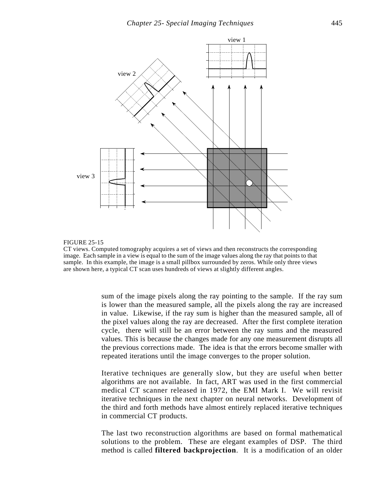



CT views. Computed tomography acquires a set of views and then reconstructs the corresponding image. Each sample in a view is equal to the sum of the image values along the ray that points to that sample. In this example, the image is a small pillbox surrounded by zeros. While only three views are shown here, a typical CT scan uses hundreds of views at slightly different angles.

sum of the image pixels along the ray pointing to the sample. If the ray sum is lower than the measured sample, all the pixels along the ray are increased in value. Likewise, if the ray sum is higher than the measured sample, all of the pixel values along the ray are decreased. After the first complete iteration cycle, there will still be an error between the ray sums and the measured values. This is because the changes made for any one measurement disrupts all the previous corrections made. The idea is that the errors become smaller with repeated iterations until the image converges to the proper solution.

Iterative techniques are generally slow, but they are useful when better algorithms are not available. In fact, ART was used in the first commercial medical CT scanner released in 1972, the EMI Mark I. We will revisit iterative techniques in the next chapter on neural networks. Development of the third and forth methods have almost entirely replaced iterative techniques in commercial CT products.

The last two reconstruction algorithms are based on formal mathematical solutions to the problem. These are elegant examples of DSP. The third method is called **filtered backprojection**. It is a modification of an older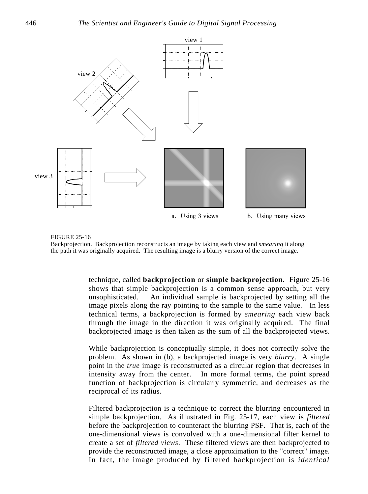

FIGURE 25-16 Backprojection. Backprojection reconstructs an image by taking each view and *smearing* it along the path it was originally acquired. The resulting image is a blurry version of the correct image.

technique, called **backprojection** or **simple backprojection.** Figure 25-16 shows that simple backprojection is a common sense approach, but very unsophisticated. An individual sample is backprojected by setting all the image pixels along the ray pointing to the sample to the same value. In less technical terms, a backprojection is formed by *smearing* each view back through the image in the direction it was originally acquired. The final backprojected image is then taken as the sum of all the backprojected views.

While backprojection is conceptually simple, it does not correctly solve the problem. As shown in (b), a backprojected image is very *blurry*. A single point in the *true* image is reconstructed as a circular region that decreases in intensity away from the center. In more formal terms, the point spread function of backprojection is circularly symmetric, and decreases as the reciprocal of its radius.

Filtered backprojection is a technique to correct the blurring encountered in simple backprojection. As illustrated in Fig. 25-17, each view is *filtered* before the backprojection to counteract the blurring PSF. That is, each of the one-dimensional views is convolved with a one-dimensional filter kernel to create a set of *filtered views*. These filtered views are then backprojected to provide the reconstructed image, a close approximation to the "correct" image. In fact, the image produced by filtered backprojection is *identical*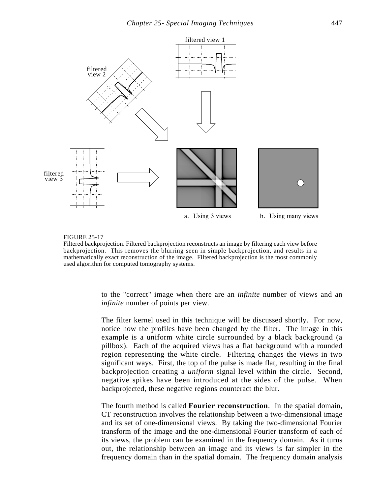

FIGURE 25-17 Filtered backprojection. Filtered backprojection reconstructs an image by filtering each view before backprojection. This removes the blurring seen in simple backprojection, and results in a mathematically exact reconstruction of the image. Filtered backprojection is the most commonly used algorithm for computed tomography systems.

> to the "correct" image when there are an *infinite* number of views and an *infinite* number of points per view.

> The filter kernel used in this technique will be discussed shortly. For now, notice how the profiles have been changed by the filter. The image in this example is a uniform white circle surrounded by a black background (a pillbox). Each of the acquired views has a flat background with a rounded region representing the white circle. Filtering changes the views in two significant ways. First, the top of the pulse is made flat, resulting in the final backprojection creating a *uniform* signal level within the circle. Second, negative spikes have been introduced at the sides of the pulse. When backprojected, these negative regions counteract the blur.

> The fourth method is called **Fourier reconstruction**. In the spatial domain, CT reconstruction involves the relationship between a two-dimensional image and its set of one-dimensional views. By taking the two-dimensional Fourier transform of the image and the one-dimensional Fourier transform of each of its views, the problem can be examined in the frequency domain. As it turns out, the relationship between an image and its views is far simpler in the frequency domain than in the spatial domain. The frequency domain analysis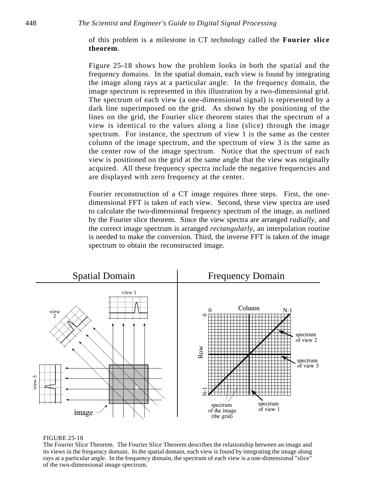of this problem is a milestone in CT technology called the **Fourier slice theorem**.

Figure 25-18 shows how the problem looks in both the spatial and the frequency domains. In the spatial domain, each view is found by integrating the image along rays at a particular angle. In the frequency domain, the image spectrum is represented in this illustration by a two-dimensional grid. The spectrum of each view (a one-dimensional signal) is represented by a dark line superimposed on the grid. As shown by the positioning of the lines on the grid, the Fourier slice theorem states that the spectrum of a view is identical to the values along a line (slice) through the image spectrum. For instance, the spectrum of view 1 is the same as the center column of the image spectrum, and the spectrum of view 3 is the same as the center row of the image spectrum. Notice that the spectrum of each view is positioned on the grid at the same angle that the view was originally acquired. All these frequency spectra include the negative frequencies and are displayed with zero frequency at the center.

Fourier reconstruction of a CT image requires three steps. First, the onedimensional FFT is taken of each view. Second, these view spectra are used to calculate the two-dimensional frequency spectrum of the image, as outlined by the Fourier slice theorem. Since the view spectra are arranged *radially*, and the correct image spectrum is arranged *rectangularly*, an interpolation routine is needed to make the conversion. Third, the inverse FFT is taken of the image spectrum to obtain the reconstructed image.



#### FIGURE 25-18

The Fourier Slice Theorem. The Fourier Slice Theorem describes the relationship between an image and its views in the frequency domain. In the spatial domain, each view is found by integrating the image along rays at a particular angle. In the frequency domain, the spectrum of each view is a one-dimensional "slice" of the two-dimensional image spectrum.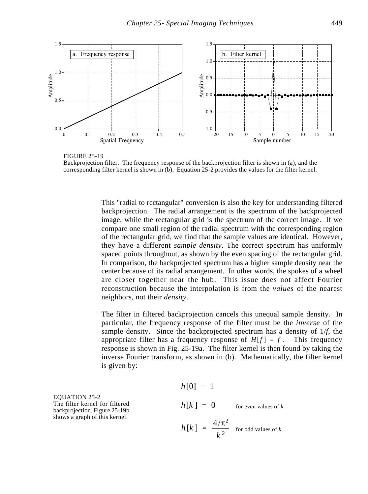

FIGURE 25-19 Backprojection filter. The frequency response of the backprojection filter is shown in (a), and the corresponding filter kernel is shown in (b). Equation 25-2 provides the values for the filter kernel.

This "radial to rectangular" conversion is also the key for understanding filtered backprojection. The radial arrangement is the spectrum of the backprojected image, while the rectangular grid is the spectrum of the correct image. If we compare one small region of the radial spectrum with the corresponding region of the rectangular grid, we find that the sample values are identical. However, they have a different *sample density*. The correct spectrum has uniformly spaced points throughout, as shown by the even spacing of the rectangular grid. In comparison, the backprojected spectrum has a higher sample density near the center because of its radial arrangement. In other words, the spokes of a wheel are closer together near the hub. This issue does not affect Fourier reconstruction because the interpolation is from the *values* of the nearest neighbors, not their *density*.

The filter in filtered backprojection cancels this unequal sample density. In particular, the frequency response of the filter must be the *inverse* of the sample density. Since the backprojected spectrum has a density of 1/*f*, the appropriate filter has a frequency response of  $H[f] = f$ . This frequency response is shown in Fig. 25-19a. The filter kernel is then found by taking the inverse Fourier transform, as shown in (b). Mathematically, the filter kernel is given by:

$$
h[0] = 1
$$

EQUATION 25-2 The filter kernel for filtered backprojection. Figure 25-19b shows a graph of this kernel.

 $h[k] = 0$  $h[k] = \frac{4/\pi^2}{s}$  $k^2$  for odd values of *k* for even values of *k*